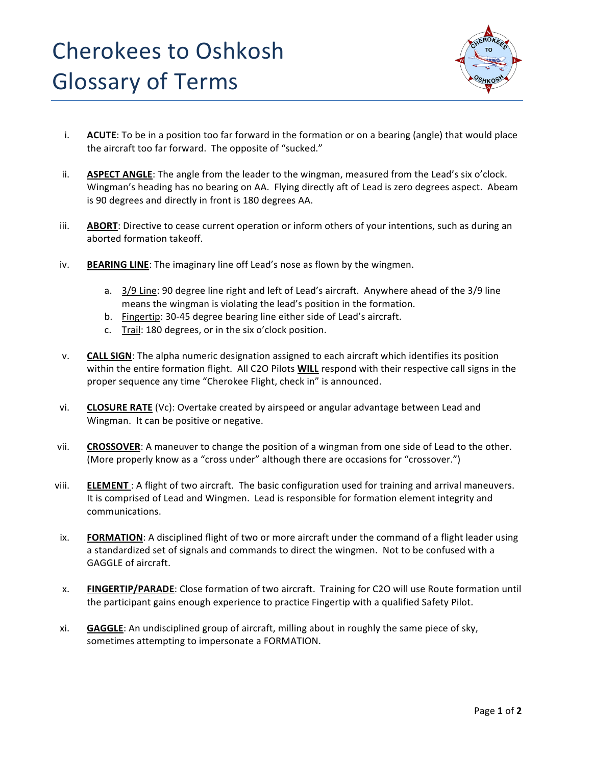

- i. **ACUTE**: To be in a position too far forward in the formation or on a bearing (angle) that would place the aircraft too far forward. The opposite of "sucked."
- ii. **ASPECT ANGLE**: The angle from the leader to the wingman, measured from the Lead's six o'clock. Wingman's heading has no bearing on AA. Flying directly aft of Lead is zero degrees aspect. Abeam is 90 degrees and directly in front is 180 degrees AA.
- iii. **ABORT**: Directive to cease current operation or inform others of your intentions, such as during an aborted formation takeoff.
- iv. **BEARING LINE:** The imaginary line off Lead's nose as flown by the wingmen.
	- a.  $3/9$  Line: 90 degree line right and left of Lead's aircraft. Anywhere ahead of the  $3/9$  line means the wingman is violating the lead's position in the formation.
	- b. Fingertip: 30-45 degree bearing line either side of Lead's aircraft.
	- c. Trail: 180 degrees, or in the six o'clock position.
- v. **CALL SIGN**: The alpha numeric designation assigned to each aircraft which identifies its position within the entire formation flight. All C2O Pilots **WILL** respond with their respective call signs in the proper sequence any time "Cherokee Flight, check in" is announced.
- vi. **CLOSURE RATE** (Vc): Overtake created by airspeed or angular advantage between Lead and Wingman. It can be positive or negative.
- vii. **CROSSOVER:** A maneuver to change the position of a wingman from one side of Lead to the other. (More properly know as a "cross under" although there are occasions for "crossover.")
- viii. **ELEMENT**: A flight of two aircraft. The basic configuration used for training and arrival maneuvers. It is comprised of Lead and Wingmen. Lead is responsible for formation element integrity and communications.
- ix. **FORMATION**: A disciplined flight of two or more aircraft under the command of a flight leader using a standardized set of signals and commands to direct the wingmen. Not to be confused with a GAGGLE of aircraft.
- x. **FINGERTIP/PARADE**: Close formation of two aircraft. Training for C2O will use Route formation until the participant gains enough experience to practice Fingertip with a qualified Safety Pilot.
- xi. **GAGGLE**: An undisciplined group of aircraft, milling about in roughly the same piece of sky, sometimes attempting to impersonate a FORMATION.